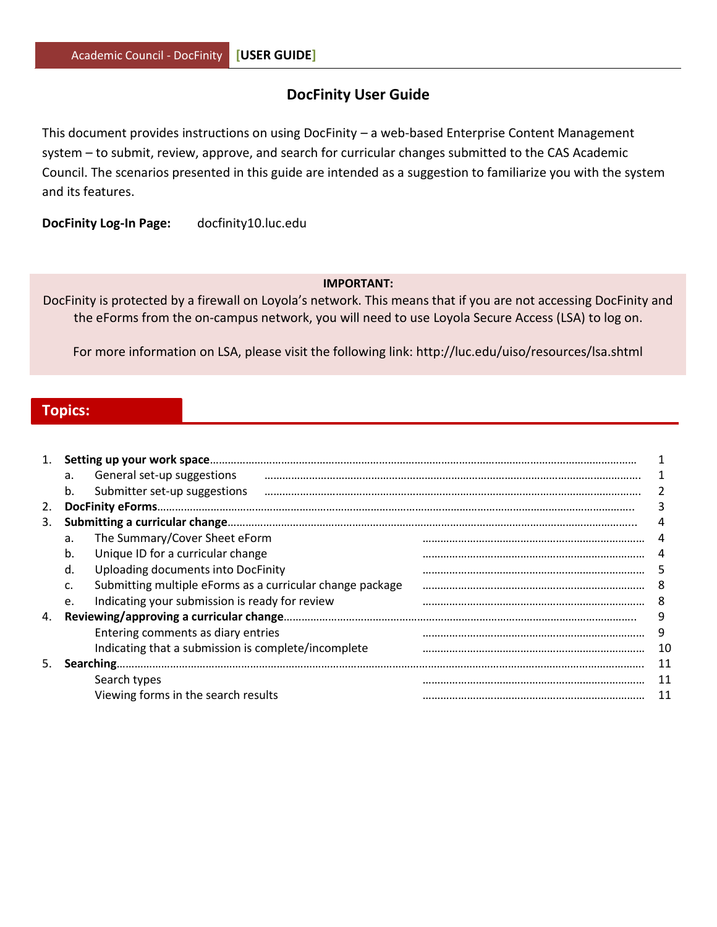# **DocFinity User Guide**

This document provides instructions on using DocFinity – a web-based Enterprise Content Management system – to submit, review, approve, and search for curricular changes submitted to the CAS Academic Council. The scenarios presented in this guide are intended as a suggestion to familiarize you with the system and its features.

**DocFinity Log-In Page:** [docfinity10.luc.edu](https://docfinity10.luc.edu/)

#### **IMPORTANT:**

DocFinity is protected by a firewall on Loyola's network. This means that if you are not accessing DocFinity and the eForms from the on-campus network, you will need to use Loyola Secure Access (LSA) to log on.

For more information on LSA, please visit the following link: http://luc.edu/uiso/resources/lsa.shtml

# **Topics:**

|    | a. | General set-up suggestions                                |    |
|----|----|-----------------------------------------------------------|----|
|    | b. | Submitter set-up suggestions                              |    |
| 2. |    |                                                           |    |
| 3. |    |                                                           |    |
|    | a. | The Summary/Cover Sheet eForm                             |    |
|    | b. | Unique ID for a curricular change                         |    |
|    | d. | Uploading documents into DocFinity                        | 5  |
|    | c. | Submitting multiple eForms as a curricular change package | 8  |
|    | e. | Indicating your submission is ready for review            | 8  |
| 4. |    |                                                           | 9  |
|    |    | Entering comments as diary entries                        | 9  |
|    |    | Indicating that a submission is complete/incomplete       | 10 |
| 5. |    |                                                           |    |
|    |    | Search types                                              | 11 |
|    |    | Viewing forms in the search results                       | 11 |
|    |    |                                                           |    |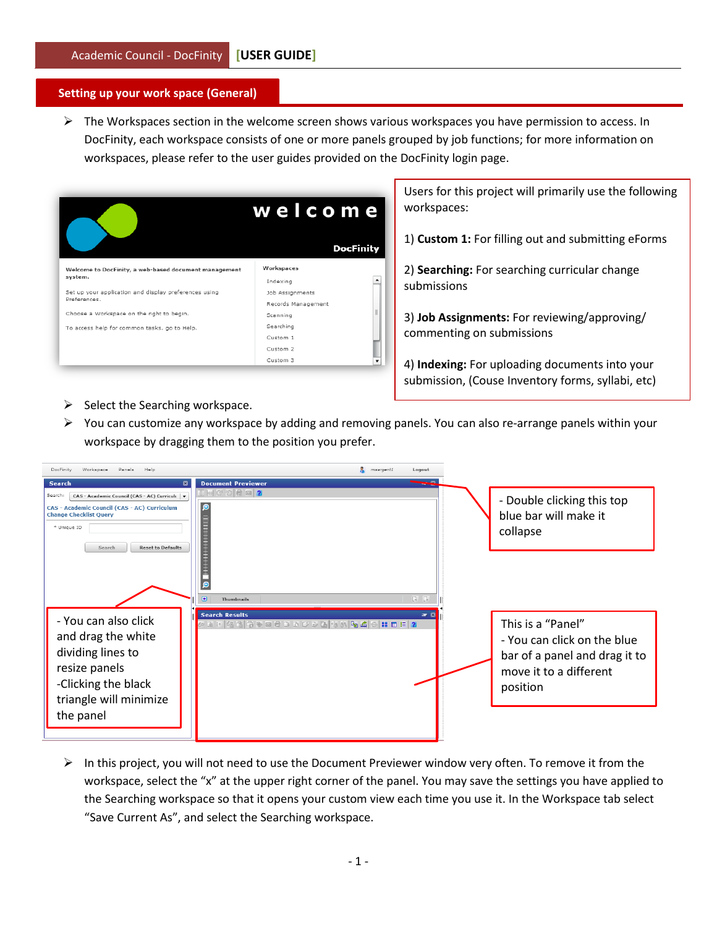#### **Setting up your work space (General)**

 $\triangleright$  The Workspaces section in the welcome screen shows various workspaces you have permission to access. In DocFinity, each workspace consists of one or more panels grouped by job functions; for more information on workspaces, please refer to the user guides provided on the DocFinity login page.

|                                                                       | welcome             |  |  |  |
|-----------------------------------------------------------------------|---------------------|--|--|--|
|                                                                       | <b>DocFinity</b>    |  |  |  |
| Welcome to DocFinity, a web-based document management<br>system.      | Workspaces          |  |  |  |
|                                                                       | Indexing            |  |  |  |
| Set up your application and display preferences using<br>Preferences. | Job Assignments     |  |  |  |
|                                                                       | Records Management  |  |  |  |
| Choose a Workspace on the right to begin.                             | Scanning            |  |  |  |
| To access help for common tasks, go to Help.                          | Searching           |  |  |  |
|                                                                       | Custom 1            |  |  |  |
|                                                                       | Custom <sub>2</sub> |  |  |  |
|                                                                       | Custom 3            |  |  |  |

Users for this project will primarily use the following workspaces:

1) **Custom 1:** For filling out and submitting eForms

2) **Searching:** For searching curricular change submissions

3) **Job Assignments:** For reviewing/approving/ commenting on submissions

4) **Indexing:** For uploading documents into your submission, (Couse Inventory forms, syllabi, etc)

- $\triangleright$  Select the Searching workspace.
- $\triangleright$  You can customize any workspace by adding and removing panels. You can also re-arrange panels within your workspace by dragging them to the position you prefer.

| DocFinity<br>Workspace<br>Panels<br>Help                                                                                                                                                                                        | msargenti<br>Logout                                                                                                      |                                                                                                                         |
|---------------------------------------------------------------------------------------------------------------------------------------------------------------------------------------------------------------------------------|--------------------------------------------------------------------------------------------------------------------------|-------------------------------------------------------------------------------------------------------------------------|
| <b>Search</b><br>$\mathbf{a}$<br>Search:<br>CAS - Academic Council (CAS - AC) Curricult v<br>CAS - Academic Council (CAS - AC) Curriculum<br><b>Change Checklist Query</b><br>* Unique ID<br><b>Reset to Defaults</b><br>Search | <b>Document Previewer</b><br>$E \bowtie C \odot  E \bowtie  2 $<br>Θ<br>$\mathbb{R}$ . $\mathbb{R}$<br><b>Thumbnails</b> | - Double clicking this top<br>blue bar will make it<br>collapse                                                         |
| - You can also click<br>and drag the white<br>dividing lines to<br>resize panels<br>-Clicking the black<br>triangle will minimize<br>the panel                                                                                  | <b>Search Results</b><br>$= R$<br>2 R F 3 R F & B C D R C D B <mark>&amp; 3 6 6 8 8 8 8 6</mark>                         | This is a "Panel"<br>- You can click on the blue<br>bar of a panel and drag it to<br>move it to a different<br>position |

 $\triangleright$  In this project, you will not need to use the Document Previewer window very often. To remove it from the workspace, select the "x" at the upper right corner of the panel. You may save the settings you have applied to the Searching workspace so that it opens your custom view each time you use it. In the Workspace tab select "Save Current As", and select the Searching workspace.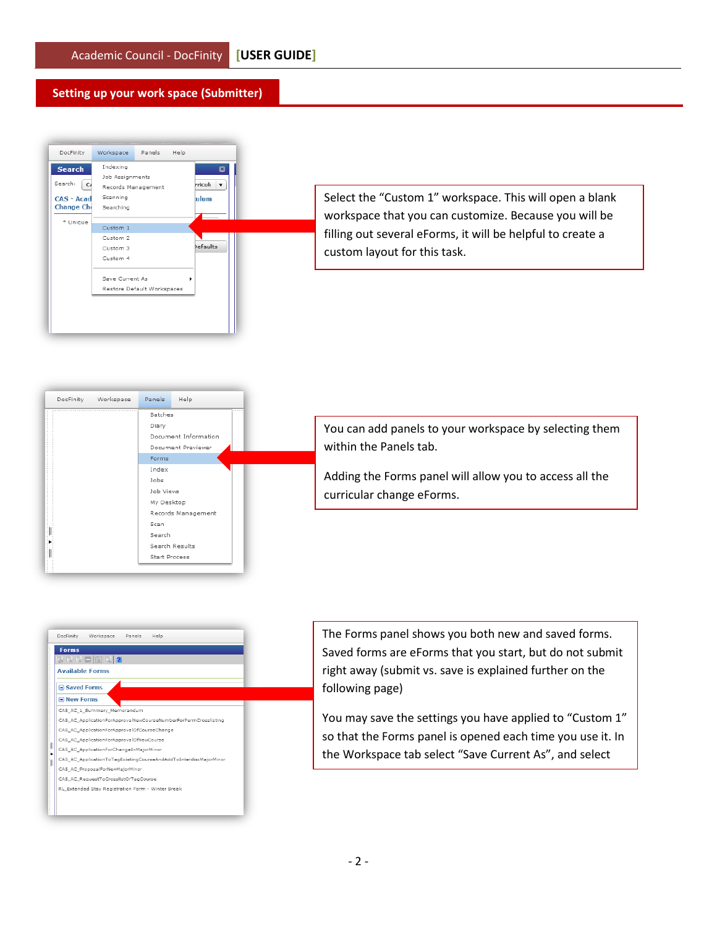#### **Setting up your work space (Submitter)**



Select the "Custom 1" workspace. This will open a blank workspace that you can customize. Because you will be filling out several eForms, it will be helpful to create a custom layout for this task.



You can add panels to your workspace by selecting them within the Panels tab.

Adding the Forms panel will allow you to access all the curricular change eForms.



The Forms panel shows you both new and saved forms. Saved forms are eForms that you start, but do not submit right away (submit vs. save is explained further on the following page)

You may save the settings you have applied to "Custom 1" so that the Forms panel is opened each time you use it. In the Workspace tab select "Save Current As", and select

the Custom 1 works package in the Custom 1 works package.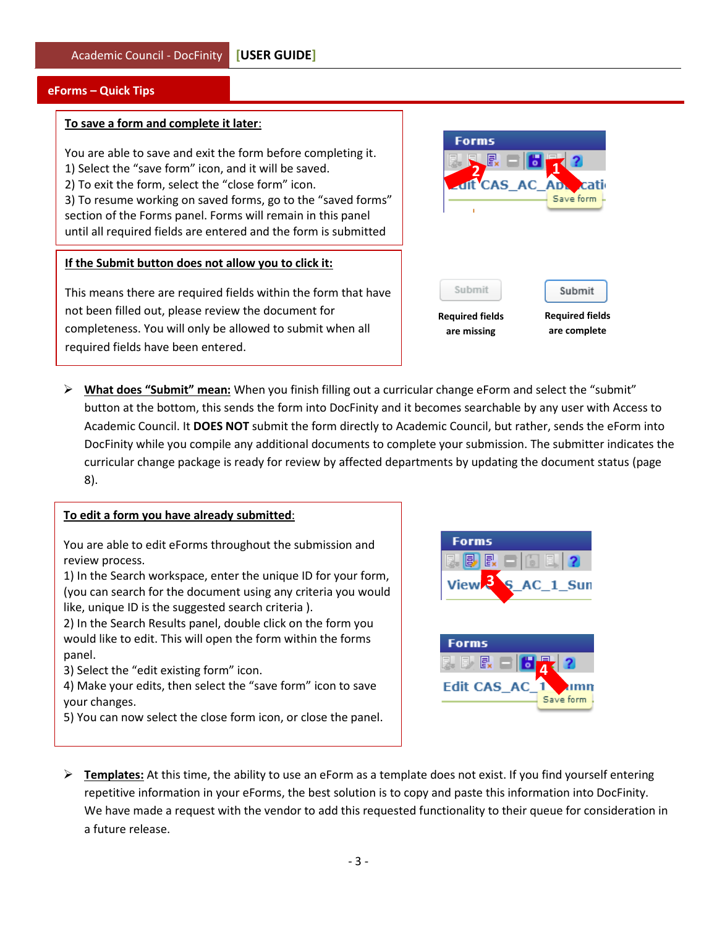# **eForms – Quick Tips**

#### **To save a form and complete it later**:

You are able to save and exit the form before completing it. 1) Select the "save form" icon, and it will be saved. 2) To exit the form, select the "close form" icon. 3) To resume working on saved forms, go to the "saved forms" section of the Forms panel. Forms will remain in this panel until all required fields are entered and the form is submitted

#### **If the Submit button does not allow you to click it:**

This means there are required fields within the form that have not been filled out, please review the document for completeness. You will only be allowed to submit when all required fields have been entered.



 **What does "Submit" mean:** When you finish filling out a curricular change eForm and select the "submit" button at the bottom, this sends the form into DocFinity and it becomes searchable by any user with Access to Academic Council. It **DOES NOT** submit the form directly to Academic Council, but rather, sends the eForm into DocFinity while you compile any additional documents to complete your submission. The submitter indicates the curricular change package is ready for review by affected departments by updating the document status (page 8).

# **To edit a form you have already submitted**:

You are able to edit eForms throughout the submission and review process.

1) In the Search workspace, enter the unique ID for your form, (you can search for the document using any criteria you would like, unique ID is the suggested search criteria ).

2) In the Search Results panel, double click on the form you would like to edit. This will open the form within the forms panel.

3) Select the "edit existing form" icon.

4) Make your edits, then select the "save form" icon to save your changes.

5) You can now select the close form icon, or close the panel.



 **Templates:** At this time, the ability to use an eForm as a template does not exist. If you find yourself entering repetitive information in your eForms, the best solution is to copy and paste this information into DocFinity. We have made a request with the vendor to add this requested functionality to their queue for consideration in a future release.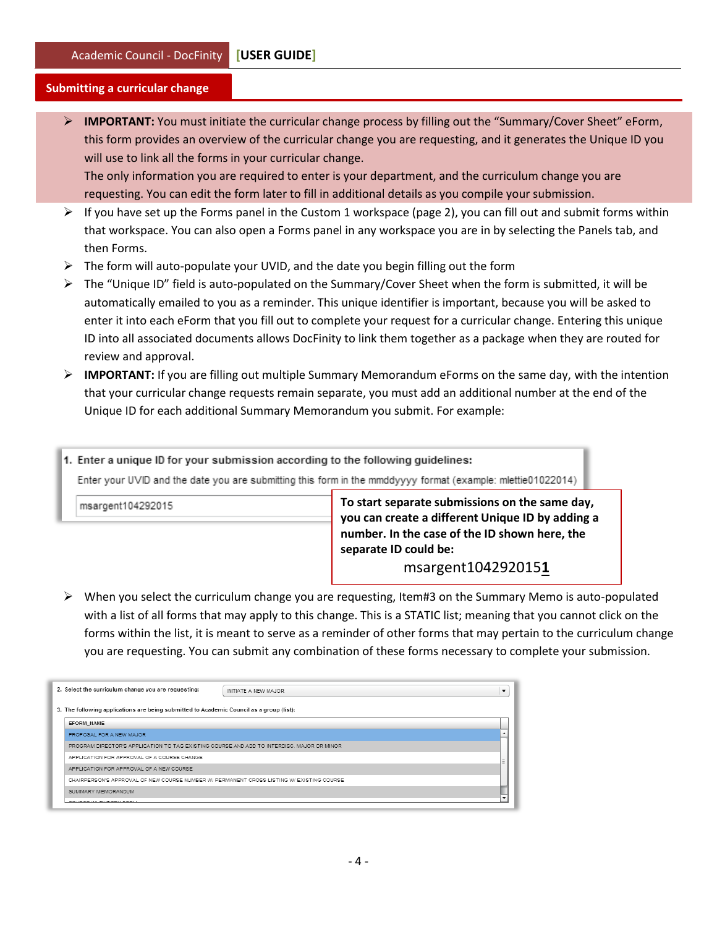#### **Submitting a curricular change**

 **IMPORTANT:** You must initiate the curricular change process by filling out the "Summary/Cover Sheet" eForm, this form provides an overview of the curricular change you are requesting, and it generates the Unique ID you will use to link all the forms in your curricular change. The only information you are required to enter is your department, and the curriculum change you are requesting. You can edit the form later to fill in additional details as you compile your submission.

- $\triangleright$  If you have set up the Forms panel in the Custom 1 workspace (page 2), you can fill out and submit forms within that workspace. You can also open a Forms panel in any workspace you are in by selecting the Panels tab, and then Forms.
- $\triangleright$  The form will auto-populate your UVID, and the date you begin filling out the form
- $\triangleright$  The "Unique ID" field is auto-populated on the Summary/Cover Sheet when the form is submitted, it will be automatically emailed to you as a reminder. This unique identifier is important, because you will be asked to enter it into each eForm that you fill out to complete your request for a curricular change. Entering this unique ID into all associated documents allows DocFinity to link them together as a package when they are routed for review and approval.
- **IMPORTANT:** If you are filling out multiple Summary Memorandum eForms on the same day, with the intention that your curricular change requests remain separate, you must add an additional number at the end of the Unique ID for each additional Summary Memorandum you submit. For example:

1. Enter a unique ID for your submission according to the following guidelines: Enter your UVID and the date you are submitting this form in the mmddyyyy format (example: mlettie01022014) **To start separate submissions on the same day,**  msargent104292015 **you can create a different Unique ID by adding a number. In the case of the ID shown here, the separate ID could be:** 

# msargent104292015**1**

 $\triangleright$  When you select the curriculum change you are requesting, Item#3 on the Summary Memo is auto-populated with a list of all forms that may apply to this change. This is a STATIC list; meaning that you cannot click on the forms within the list, it is meant to serve as a reminder of other forms that may pertain to the curriculum change you are requesting. You can submit any combination of these forms necessary to complete your submission.

|                                              | 2. Select the curriculum change you are requesting:                                        | INITIATE A NEW MAJOR | $\overline{\phantom{a}}$ |  |
|----------------------------------------------|--------------------------------------------------------------------------------------------|----------------------|--------------------------|--|
|                                              | 3. The following applications are being submitted to Academic Council as a group (list):   |                      |                          |  |
|                                              | EFORM NAME                                                                                 |                      |                          |  |
|                                              | PROPOSAL FOR A NEW MAJOR                                                                   |                      |                          |  |
|                                              | PROGRAM DIRECTOR'S APPLICATION TO TAG EXISTING COURSE AND ADD TO INTERDISC. MAJOR OR MINOR |                      |                          |  |
| APPLICATION FOR APPROVAL OF A COURSE CHANGE. |                                                                                            |                      |                          |  |
|                                              | APPLICATION FOR APPROVAL OF A NEW COURSE                                                   |                      |                          |  |
|                                              | CHAIRPERSON'S APPROVAL OF NEW COURSE NUMBER W/ PERMANENT CROSS LISTING W/ EXISTING COURSE  |                      |                          |  |
|                                              | SUMMARY MEMORANDUM                                                                         |                      |                          |  |
|                                              | COURSE IN FUTORI SOBL                                                                      |                      |                          |  |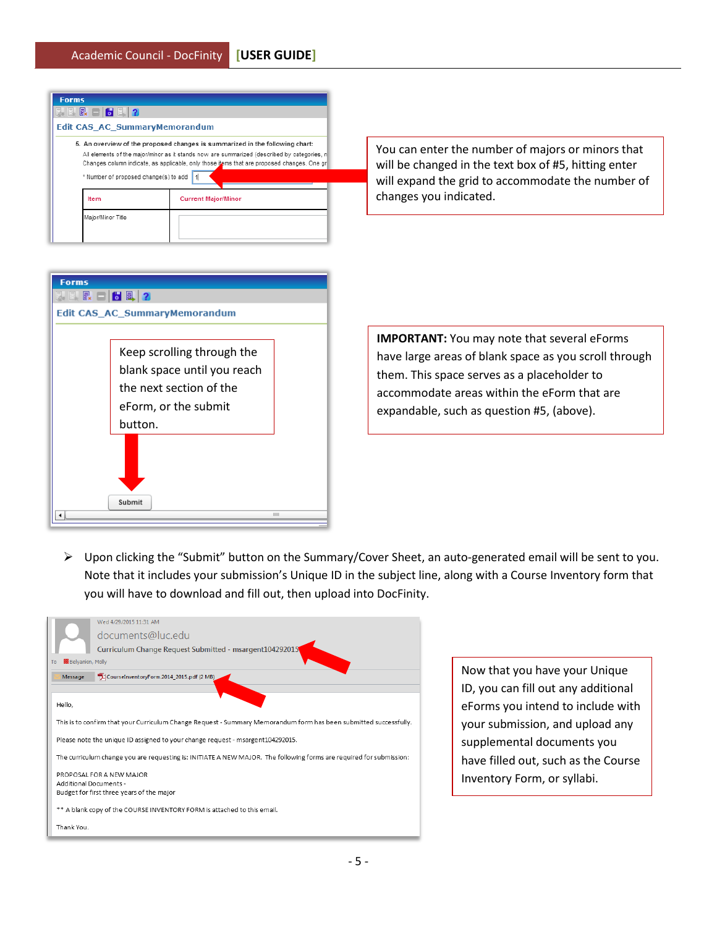| <b>Forms</b>                                                                                                                                                                                                                                                                                                       |                            |  |  |  |  |  |  |
|--------------------------------------------------------------------------------------------------------------------------------------------------------------------------------------------------------------------------------------------------------------------------------------------------------------------|----------------------------|--|--|--|--|--|--|
| <b>B. 日 民 一   5 日   ?</b>                                                                                                                                                                                                                                                                                          |                            |  |  |  |  |  |  |
| <b>Edit CAS AC SummaryMemorandum</b>                                                                                                                                                                                                                                                                               |                            |  |  |  |  |  |  |
| 5. An overview of the proposed changes is summarized in the following chart:<br>All elements of the major/minor as it stands now are summarized (described by categories, n<br>Changes column indicate, as applicable, only those items that are proposed changes. One or<br>* Number of proposed change(s) to add |                            |  |  |  |  |  |  |
| Item                                                                                                                                                                                                                                                                                                               | <b>Current Major/Minor</b> |  |  |  |  |  |  |
| Major/Minor Title                                                                                                                                                                                                                                                                                                  |                            |  |  |  |  |  |  |

You can enter the number of majors or minors that will be changed in the text box of #5, hitting enter will expand the grid to accommodate the number of changes you indicated.



**IMPORTANT:** You may note that several eForms have large areas of blank space as you scroll through them. This space serves as a placeholder to accommodate areas within the eForm that are expandable, such as question #5, (above).

 Upon clicking the "Submit" button on the Summary/Cover Sheet, an auto-generated email will be sent to you. Note that it includes your submission's Unique ID in the subject line, along with a Course Inventory form that you will have to download and fill out, then upload into DocFinity.



Now that you have your Unique ID, you can fill out any additional eForms you intend to include with your submission, and upload any supplemental documents you have filled out, such as the Course Inventory Form, or syllabi.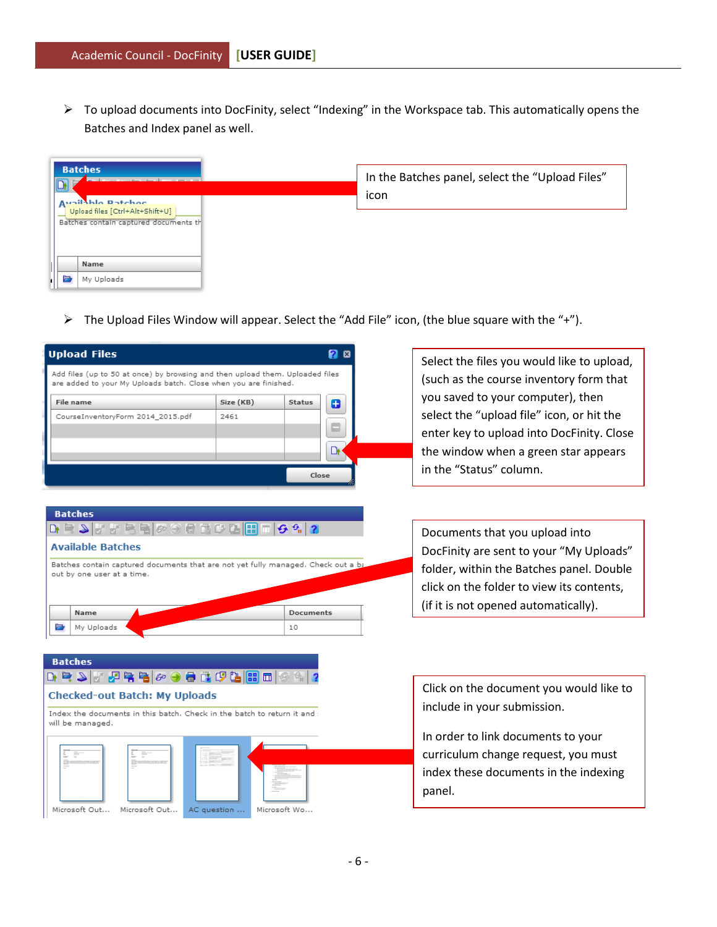$\triangleright$  To upload documents into DocFinity, select "Indexing" in the Workspace tab. This automatically opens the Batches and Index panel as well.

|   | <b>Batches</b>                        |                                                 |
|---|---------------------------------------|-------------------------------------------------|
| ь |                                       | In the Batches panel, select the "Upload Files" |
|   |                                       | icon                                            |
|   | Ausilable Datcher                     |                                                 |
|   | Upload files [Ctrl+Alt+Shift+U]       |                                                 |
|   | Batches contain captured documents th |                                                 |
|   |                                       |                                                 |
|   |                                       |                                                 |
|   | Name                                  |                                                 |
| E | My Uploads                            |                                                 |
|   |                                       |                                                 |

 $\triangleright$  The Upload Files Window will appear. Select the "Add File" icon, (the blue square with the "+").

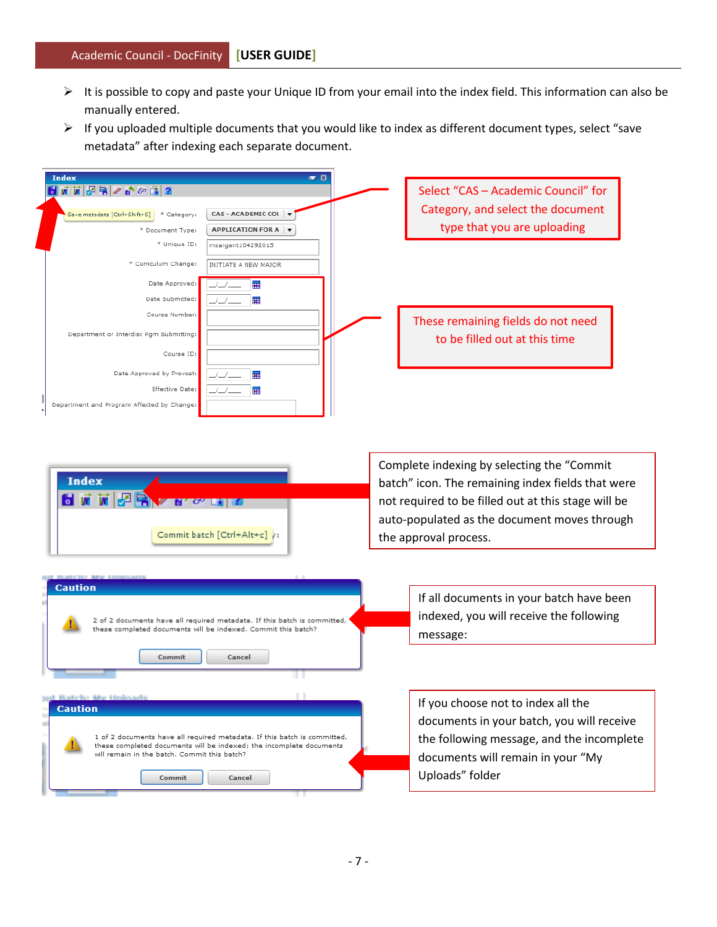- It is possible to copy and paste your Unique ID from your email into the index field. This information can also be manually entered.
- $\triangleright$  If you uploaded multiple documents that you would like to index as different document types, select "save metadata" after indexing each separate document.

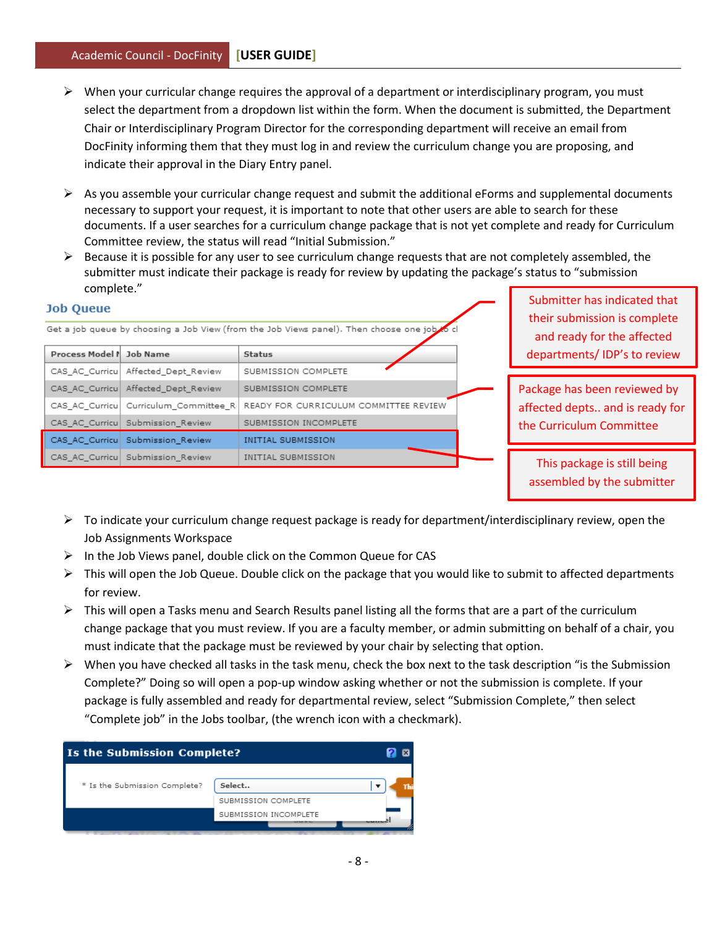- $\triangleright$  When your curricular change requires the approval of a department or interdisciplinary program, you must select the department from a dropdown list within the form. When the document is submitted, the Department Chair or Interdisciplinary Program Director for the corresponding department will receive an email from DocFinity informing them that they must log in and review the curriculum change you are proposing, and indicate their approval in the Diary Entry panel.
- $\triangleright$  As you assemble your curricular change request and submit the additional eForms and supplemental documents necessary to support your request, it is important to note that other users are able to search for these documents. If a user searches for a curriculum change package that is not yet complete and ready for Curriculum Committee review, the status will read "Initial Submission."
- $\triangleright$  Because it is possible for any user to see curriculum change requests that are not completely assembled, the submitter must indicate their package is ready for review by updating the package's status to "submission complete."

| a Oyev |
|--------|
|--------|

Get a job queue by choosing a Job View (from the Job Views panel). Then choose one job

| Process Model P Job Name |                                         | <b>Status</b>                         |
|--------------------------|-----------------------------------------|---------------------------------------|
|                          | CAS AC Curricu Affected Dept Review     | SUBMISSION COMPLETE                   |
|                          | CAS AC Curricu Affected Dept Review     | SUBMISSION COMPLETE                   |
|                          | CAS AC Curricul Curriculum Committee R. | READY FOR CURRICULUM COMMITTEE REVIEW |
|                          | CAS AC Curricu Submission Review        | SUBMISSION INCOMPLETE                 |
|                          | CAS AC Curricu Submission Review        | INITIAL SUBMISSION                    |
|                          | CAS_AC_Curricu Submission_Review        | INITIAL SUBMISSION                    |

Submitter has indicated that their submission is complete and ready for the affected departments/ IDP's to review

Package has been reviewed by affected depts.. and is ready for the Curriculum Committee

This package is still being assembled by the submitter

- $\triangleright$  To indicate your curriculum change request package is ready for department/interdisciplinary review, open the Job Assignments Workspace
- $\triangleright$  In the Job Views panel, double click on the Common Queue for CAS
- $\triangleright$  This will open the Job Queue. Double click on the package that you would like to submit to affected departments for review.
- $\triangleright$  This will open a Tasks menu and Search Results panel listing all the forms that are a part of the curriculum change package that you must review. If you are a faculty member, or admin submitting on behalf of a chair, you must indicate that the package must be reviewed by your chair by selecting that option.
- $\triangleright$  When you have checked all tasks in the task menu, check the box next to the task description "is the Submission Complete?" Doing so will open a pop-up window asking whether or not the submission is complete. If your package is fully assembled and ready for departmental review, select "Submission Complete," then select "Complete job" in the Jobs toolbar, (the wrench icon with a checkmark).

| <b>Is the Submission Complete?</b> |                       |  |  |  |
|------------------------------------|-----------------------|--|--|--|
| * Is the Submission Complete?      | Select                |  |  |  |
|                                    | SUBMISSION COMPLETE   |  |  |  |
|                                    | SUBMISSION INCOMPLETE |  |  |  |
|                                    |                       |  |  |  |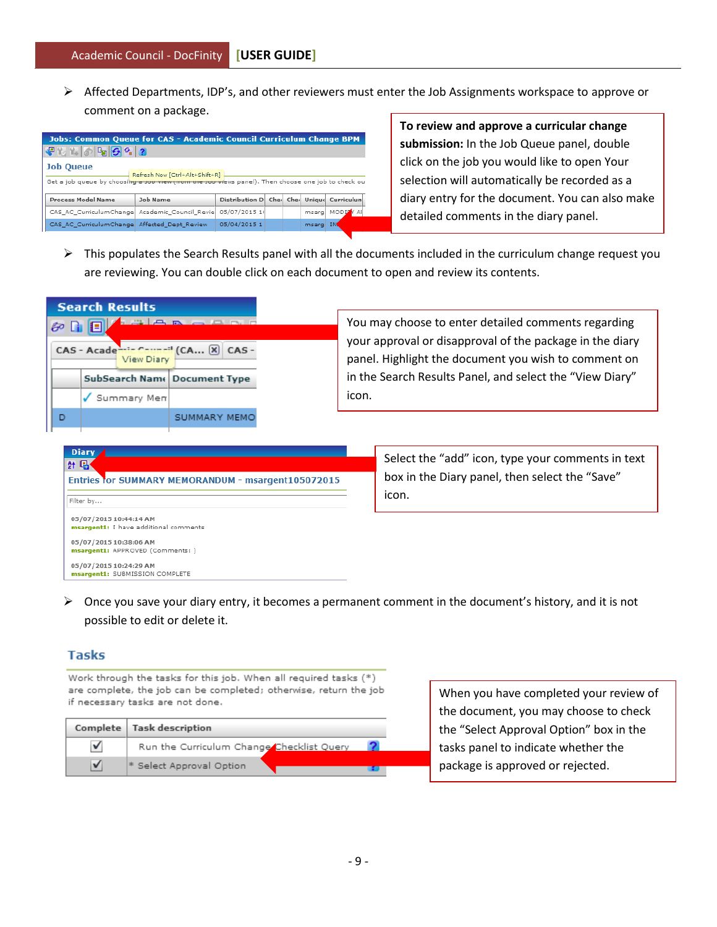$\triangleright$  Affected Departments, IDP's, and other reviewers must enter the Job Assignments workspace to approve or comment on a package.

| <b>Jobs: Common Queue for CAS - Academic Council Curriculum Change BPM</b>                                                                                |                                              |                                          |  |  |       |           |  |
|-----------------------------------------------------------------------------------------------------------------------------------------------------------|----------------------------------------------|------------------------------------------|--|--|-------|-----------|--|
|                                                                                                                                                           |                                              |                                          |  |  |       |           |  |
| <b>Job Queue</b><br>Refresh Now [Ctrl+Alt+Shift+R]<br>Get a job queue by choosing a job view (from the job views panel). Then choose one job to check out |                                              |                                          |  |  |       |           |  |
| Process Model Name                                                                                                                                        | Job Name                                     | Distribution D Che Che Unique Curriculun |  |  |       |           |  |
| CAS AC CurriculumChange Academic Council Revie                                                                                                            |                                              | 05/07/2015 14                            |  |  | msarg | MODIFY AI |  |
|                                                                                                                                                           | CAS AC CurriculumChange Affected Dept Review | 05/04/2015 1                             |  |  | msarg | IN.       |  |

**To review and approve a curricular change submission:** In the Job Queue panel, double click on the job you would like to open Your selection will automatically be recorded as a diary entry for the document. You can also make detailed comments in the diary panel.

 $\triangleright$  This populates the Search Results panel with all the documents included in the curriculum change request you are reviewing. You can double click on each document to open and review its contents.

| <b>Search Results</b>                    |                                                                                                                                        |  |                                                                                                                                                                                                                                              |  |  |  |
|------------------------------------------|----------------------------------------------------------------------------------------------------------------------------------------|--|----------------------------------------------------------------------------------------------------------------------------------------------------------------------------------------------------------------------------------------------|--|--|--|
| $\circ$ n E<br>View Diary<br>Summary Men | $\mathbb{R}$ and $\mathbb{R}$ and $\mathbb{R}$ and $\mathbb{R}$<br>CAS - Academic Council (CA X CAS -<br>SubSearch Nam   Document Type |  | You may choose to enter detailed comments regarding<br>your approval or disapproval of the package in the diary<br>panel. Highlight the document you wish to comment on<br>in the Search Results Panel, and select the "View Diary"<br>icon. |  |  |  |
| D                                        | <b>SUMMARY MEMO</b>                                                                                                                    |  |                                                                                                                                                                                                                                              |  |  |  |
| Diary /<br>at 国·                         | Entries for SUMMARY MEMORANDUM - msargent105072015                                                                                     |  | Select the "add" icon, type your comments in text<br>box in the Diary panel, then select the "Save"                                                                                                                                          |  |  |  |

| Entries for SUMMARY MEMORANDUM - msargent105072015              | box  |
|-----------------------------------------------------------------|------|
| Filter by                                                       | icon |
| 05/07/2015 10:44:14 AM<br>msargent1: I have additional comments |      |
| 05/07/2015 10:38:06 AM<br>msargent1: APPROVED (Comments: )      |      |
| 05/07/2015 10:24:29 AM<br>msargent1: SUBMISSION COMPLETE        |      |

in the Diary panel, then select the "Save" icon.

 $\triangleright$  Once you save your diary entry, it becomes a permanent comment in the document's history, and it is not possible to edit or delete it.

# **Tasks**

Filter

Work through the tasks for this job. When all required tasks (\*) are complete, the job can be completed; otherwise, return the job if necessary tasks are not done.

| Complete   Task description               |  |
|-------------------------------------------|--|
| Run the Curriculum Change Checklist Query |  |
| * Select Approval Option                  |  |

When you have completed your review of the document, you may choose to check the "Select Approval Option" box in the tasks panel to indicate whether the package is approved or rejected.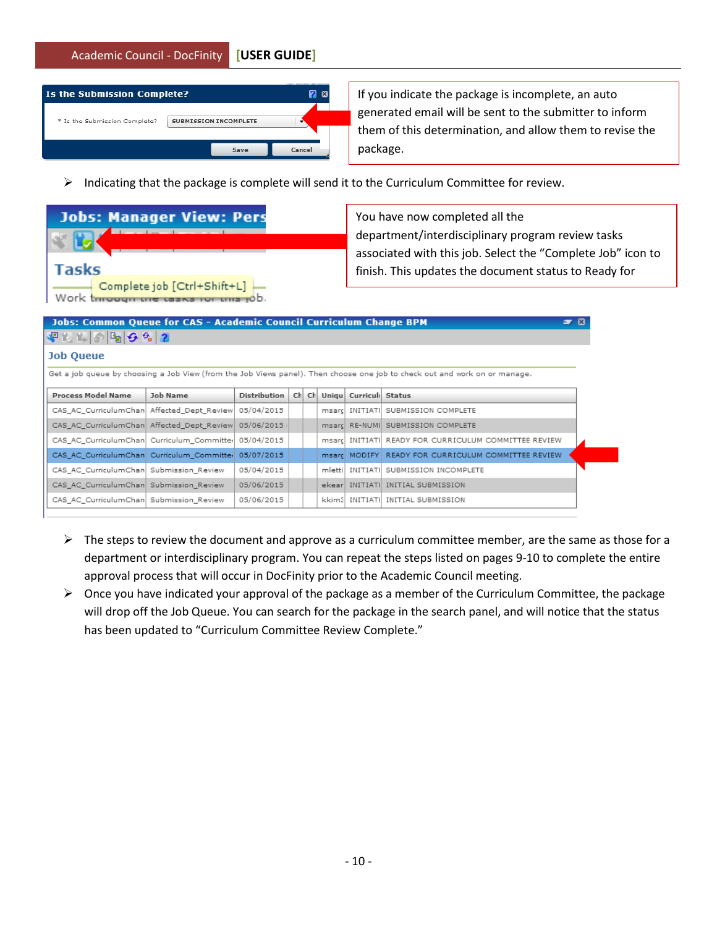Academic Council - DocFinity **[USER GUIDE]**

| <b>Is the Submission Complete?</b> |                              |        |
|------------------------------------|------------------------------|--------|
| * Is the Submission Complete?      | <b>SUBMISSION INCOMPLETE</b> |        |
|                                    | Save                         | Cancel |

If you indicate the package is incomplete, an auto generated email will be sent to the submitter to inform them of this determination, and allow them to revise the package.

 $\triangleright$  Indicating that the package is complete will send it to the Curriculum Committee for review.

|              | <b>Jobs: Manager View: Pers</b>                                     |
|--------------|---------------------------------------------------------------------|
|              |                                                                     |
| <b>Tasks</b> |                                                                     |
|              | Complete job [Ctrl+Shift+L]<br>Work through the tasks for this job. |

You have now completed all the department/interdisciplinary program review tasks associated with this job. Select the "Complete Job" icon to finish. This updates the document status to Ready for

Curriculum Committee Review.

| <b>Jobs: Common Queue for CAS - Academic Council Curriculum Change BPM</b><br>$\overline{\mathbf{r}}$                      |          |                     |     |     |         |                       |                                                      |  |
|----------------------------------------------------------------------------------------------------------------------------|----------|---------------------|-----|-----|---------|-----------------------|------------------------------------------------------|--|
|                                                                                                                            |          |                     |     |     |         |                       |                                                      |  |
| <b>Job Queue</b>                                                                                                           |          |                     |     |     |         |                       |                                                      |  |
| Get a job queue by choosing a Job View (from the Job Views panel). Then choose one job to check out and work on or manage. |          |                     |     |     |         |                       |                                                      |  |
| <b>Process Model Name</b>                                                                                                  | Job Name | <b>Distribution</b> | Ch. | Ch. |         | Uniqu Curricul Status |                                                      |  |
| CAS_AC_CurriculumChan  Affected_Dept_Review                                                                                |          | 05/04/2015          |     |     | msarci  |                       | INITIATI SUBMISSION COMPLETE                         |  |
| CAS AC CurriculumChan Affected Dept Review                                                                                 |          | 05/06/2015          |     |     |         |                       | msard RE-NUMI SUBMISSION COMPLETE                    |  |
| CAS_AC_CurriculumChan  Curriculum_Committer                                                                                |          | 05/04/2015          |     |     |         |                       | msarc INITIATI READY FOR CURRICULUM COMMITTEE REVIEW |  |
| CAS_AC_CurriculumChan    Curriculum_Committer                                                                              |          | 05/07/2015          |     |     |         |                       | msarc MODIFY READY FOR CURRICULUM COMMITTEE REVIEW   |  |
| CAS_AC_CurriculumChan  Submission_Review                                                                                   |          | 05/04/2015          |     |     | mlettil |                       | INITIATI SUBMISSION INCOMPLETE                       |  |
| CAS_AC_CurriculumChan Submission_Review                                                                                    |          | 05/06/2015          |     |     |         |                       | ekear INITIATI INITIAL SUBMISSION                    |  |
| CAS AC CurriculumChan Submission Review                                                                                    |          | 05/06/2015          |     |     |         |                       | kkim3  INITIATI  INITIAL SUBMISSION                  |  |

- $\triangleright$  The steps to review the document and approve as a curriculum committee member, are the same as those for a department or interdisciplinary program. You can repeat the steps listed on pages 9-10 to complete the entire approval process that will occur in DocFinity prior to the Academic Council meeting.
- $\triangleright$  Once you have indicated your approval of the package as a member of the Curriculum Committee, the package will drop off the Job Queue. You can search for the package in the search panel, and will notice that the status has been updated to "Curriculum Committee Review Complete."